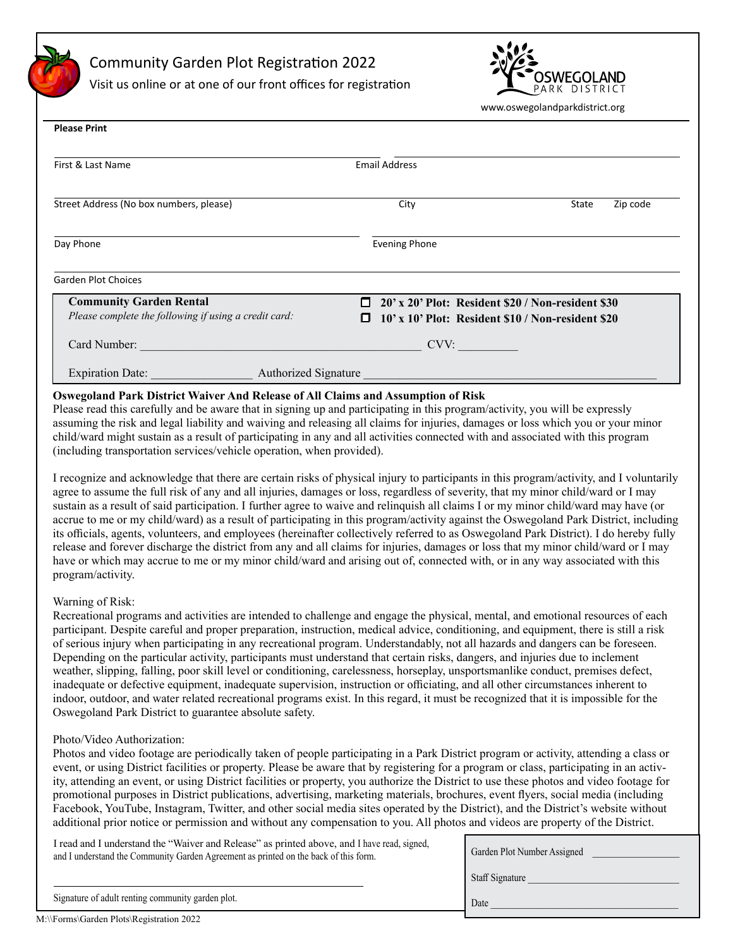Community Garden Plot Registration 2022

Visit us online or at one of our front offices for registration



www.oswegolandparkdistrict.org

| <b>Please Print</b>                                   |                                                         |                   |  |
|-------------------------------------------------------|---------------------------------------------------------|-------------------|--|
| First & Last Name                                     | <b>Email Address</b>                                    |                   |  |
| Street Address (No box numbers, please)               | City                                                    | State<br>Zip code |  |
| Day Phone                                             | <b>Evening Phone</b>                                    |                   |  |
| <b>Garden Plot Choices</b>                            |                                                         |                   |  |
| <b>Community Garden Rental</b>                        | 20' x 20' Plot: Resident \$20 / Non-resident \$30<br>п. |                   |  |
| Please complete the following if using a credit card: | 10' x 10' Plot: Resident \$10 / Non-resident \$20<br>ш  |                   |  |
| Card Number:                                          | CVV:                                                    |                   |  |
| <b>Expiration Date:</b><br>Authorized Signature       |                                                         |                   |  |

### **Oswegoland Park District Waiver And Release of All Claims and Assumption of Risk**

Please read this carefully and be aware that in signing up and participating in this program/activity, you will be expressly assuming the risk and legal liability and waiving and releasing all claims for injuries, damages or loss which you or your minor child/ward might sustain as a result of participating in any and all activities connected with and associated with this program (including transportation services/vehicle operation, when provided).

I recognize and acknowledge that there are certain risks of physical injury to participants in this program/activity, and I voluntarily agree to assume the full risk of any and all injuries, damages or loss, regardless of severity, that my minor child/ward or I may sustain as a result of said participation. I further agree to waive and relinquish all claims I or my minor child/ward may have (or accrue to me or my child/ward) as a result of participating in this program/activity against the Oswegoland Park District, including its officials, agents, volunteers, and employees (hereinafter collectively referred to as Oswegoland Park District). I do hereby fully release and forever discharge the district from any and all claims for injuries, damages or loss that my minor child/ward or I may have or which may accrue to me or my minor child/ward and arising out of, connected with, or in any way associated with this program/activity.

#### Warning of Risk:

Recreational programs and activities are intended to challenge and engage the physical, mental, and emotional resources of each participant. Despite careful and proper preparation, instruction, medical advice, conditioning, and equipment, there is still a risk of serious injury when participating in any recreational program. Understandably, not all hazards and dangers can be foreseen. Depending on the particular activity, participants must understand that certain risks, dangers, and injuries due to inclement weather, slipping, falling, poor skill level or conditioning, carelessness, horseplay, unsportsmanlike conduct, premises defect, inadequate or defective equipment, inadequate supervision, instruction or officiating, and all other circumstances inherent to indoor, outdoor, and water related recreational programs exist. In this regard, it must be recognized that it is impossible for the Oswegoland Park District to guarantee absolute safety.

#### Photo/Video Authorization:

Photos and video footage are periodically taken of people participating in a Park District program or activity, attending a class or event, or using District facilities or property. Please be aware that by registering for a program or class, participating in an activity, attending an event, or using District facilities or property, you authorize the District to use these photos and video footage for promotional purposes in District publications, advertising, marketing materials, brochures, event flyers, social media (including Facebook, YouTube, Instagram, Twitter, and other social media sites operated by the District), and the District's website without additional prior notice or permission and without any compensation to you. All photos and videos are property of the District.

I read and I understand the "Waiver and Release" as printed above, and I have read, signed, and I understand the Community Garden Agreement as printed on the back of this form.

| Garden Plot Number Assigned |
|-----------------------------|
| Staff Signature             |
| Date                        |

Signature of adult renting community garden plot.